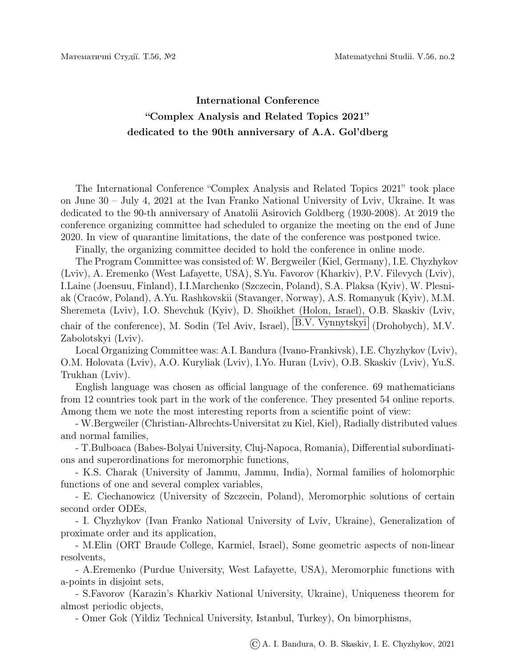## International Conference "Complex Analysis and Related Topics 2021" dedicated to the 90th anniversary of A.A. Gol'dberg

The International Conference "Complex Analysis and Related Topics 2021" took place on June 30 – July 4, 2021 at the Ivan Franko National University of Lviv, Ukraine. It was dedicated to the 90-th anniversary of Anatolii Asirovich Goldberg (1930-2008). At 2019 the conference organizing committee had scheduled to organize the meeting on the end of June 2020. In view of quarantine limitations, the date of the conference was postponed twice.

Finally, the organizing committee decided to hold the conference in online mode.

The Program Committee was consisted of: W. Bergweiler (Kiel, Germany), I.E. Chyzhykov (Lviv), A. Eremenko (West Lafayette, USA), S.Yu. Favorov (Kharkiv), P.V. Filevych (Lviv), I.Laine (Joensuu, Finland), I.I.Marchenko (Szczecin, Poland), S.A. Plaksa (Kyiv), W. Plesniak (Crac´ow, Poland), A.Yu. Rashkovskii (Stavanger, Norway), A.S. Romanyuk (Kyiv), M.M. Sheremeta (Lviv), I.O. Shevchuk (Kyiv), D. Shoikhet (Holon, Israel), O.B. Skaskiv (Lviv, chair of the conference), M. Sodin (Tel Aviv, Israel), B.V. Vynnytskyi (Drohobych), M.V. Zabolotskyi (Lviv).

Local Organizing Committee was: A.I. Bandura (Ivano-Frankivsk), I.E. Chyzhykov (Lviv), O.M. Holovata (Lviv), A.O. Kuryliak (Lviv), I.Yo. Huran (Lviv), O.B. Skaskiv (Lviv), Yu.S. Trukhan (Lviv).

English language was chosen as official language of the conference. 69 mathematicians from 12 countries took part in the work of the conference. They presented 54 online reports. Among them we note the most interesting reports from a scientific point of view:

- W.Bergweiler (Christian-Albrechts-Universitat zu Kiel, Kiel), Radially distributed values and normal families,

- T.Bulboaca (Babes-Bolyai University, Cluj-Napoca, Romania), Differential subordinations and superordinations for meromorphic functions,

- K.S. Charak (University of Jammu, Jammu, India), Normal families of holomorphic functions of one and several complex variables,

- E. Ciechanowicz (University of Szczecin, Poland), Meromorphic solutions of certain second order ODEs,

- I. Chyzhykov (Ivan Franko National University of Lviv, Ukraine), Generalization of proximate order and its application,

- M.Elin (ORT Braude College, Karmiel, Israel), Some geometric aspects of non-linear resolvents,

- A.Eremenko (Purdue University, West Lafayette, USA), Meromorphic functions with a-points in disjoint sets,

- S.Favorov (Karazin's Kharkiv National University, Ukraine), Uniqueness theorem for almost periodic objects,

- Omer Gok (Yildiz Technical University, Istanbul, Turkey), On bimorphisms,